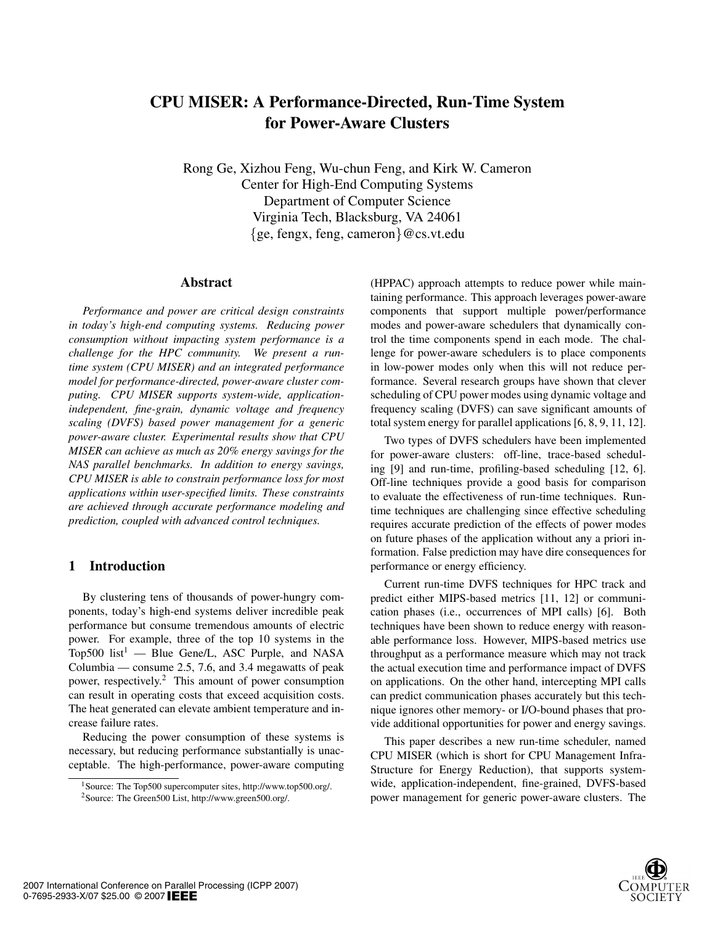# CPU MISER: A Performance-Directed, Run-Time System for Power-Aware Clusters

Rong Ge, Xizhou Feng, Wu-chun Feng, and Kirk W. Cameron Center for High-End Computing Systems Department of Computer Science Virginia Tech, Blacksburg, VA 24061 {ge, fengx, feng, cameron}@cs.vt.edu

#### Abstract

*Performance and power are critical design constraints in today's high-end computing systems. Reducing power consumption without impacting system performance is a challenge for the HPC community. We present a runtime system (CPU MISER) and an integrated performance model for performance-directed, power-aware cluster computing. CPU MISER supports system-wide, applicationindependent, fine-grain, dynamic voltage and frequency scaling (DVFS) based power management for a generic power-aware cluster. Experimental results show that CPU MISER can achieve as much as 20% energy savings for the NAS parallel benchmarks. In addition to energy savings, CPU MISER is able to constrain performance loss for most applications within user-specified limits. These constraints are achieved through accurate performance modeling and prediction, coupled with advanced control techniques.*

#### 1 Introduction

By clustering tens of thousands of power-hungry components, today's high-end systems deliver incredible peak performance but consume tremendous amounts of electric power. For example, three of the top 10 systems in the Top500 list<sup>1</sup> — Blue Gene/L, ASC Purple, and NASA Columbia — consume 2.5, 7.6, and 3.4 megawatts of peak power, respectively.2 This amount of power consumption can result in operating costs that exceed acquisition costs. The heat generated can elevate ambient temperature and increase failure rates.

Reducing the power consumption of these systems is necessary, but reducing performance substantially is unacceptable. The high-performance, power-aware computing

(HPPAC) approach attempts to reduce power while maintaining performance. This approach leverages power-aware components that support multiple power/performance modes and power-aware schedulers that dynamically control the time components spend in each mode. The challenge for power-aware schedulers is to place components in low-power modes only when this will not reduce performance. Several research groups have shown that clever scheduling of CPU power modes using dynamic voltage and frequency scaling (DVFS) can save significant amounts of total system energy for parallel applications [6, 8, 9, 11, 12].

Two types of DVFS schedulers have been implemented for power-aware clusters: off-line, trace-based scheduling [9] and run-time, profiling-based scheduling [12, 6]. Off-line techniques provide a good basis for comparison to evaluate the effectiveness of run-time techniques. Runtime techniques are challenging since effective scheduling requires accurate prediction of the effects of power modes on future phases of the application without any a priori information. False prediction may have dire consequences for performance or energy efficiency.

Current run-time DVFS techniques for HPC track and predict either MIPS-based metrics [11, 12] or communication phases (i.e., occurrences of MPI calls) [6]. Both techniques have been shown to reduce energy with reasonable performance loss. However, MIPS-based metrics use throughput as a performance measure which may not track the actual execution time and performance impact of DVFS on applications. On the other hand, intercepting MPI calls can predict communication phases accurately but this technique ignores other memory- or I/O-bound phases that provide additional opportunities for power and energy savings.

This paper describes a new run-time scheduler, named CPU MISER (which is short for CPU Management Infra-Structure for Energy Reduction), that supports systemwide, application-independent, fine-grained, DVFS-based power management for generic power-aware clusters. The



<sup>1</sup>Source: The Top500 supercomputer sites, http://www.top500.org/. 2Source: The Green500 List, http://www.green500.org/.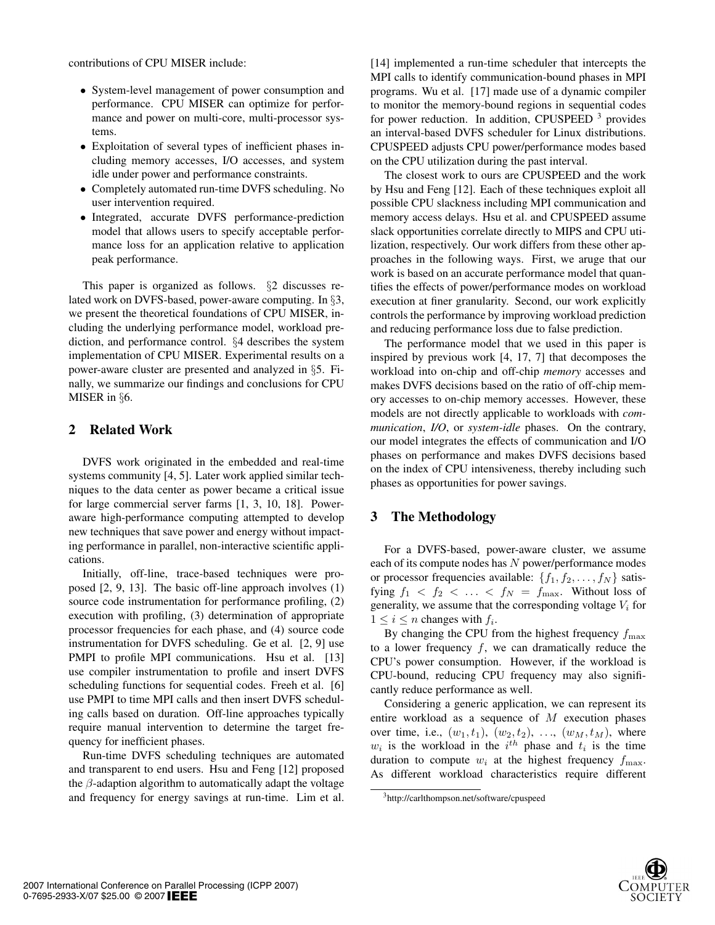contributions of CPU MISER include:

- System-level management of power consumption and performance. CPU MISER can optimize for performance and power on multi-core, multi-processor systems.
- Exploitation of several types of inefficient phases including memory accesses, I/O accesses, and system idle under power and performance constraints.
- Completely automated run-time DVFS scheduling. No user intervention required.
- Integrated, accurate DVFS performance-prediction model that allows users to specify acceptable performance loss for an application relative to application peak performance.

This paper is organized as follows. §2 discusses related work on DVFS-based, power-aware computing. In §3, we present the theoretical foundations of CPU MISER, including the underlying performance model, workload prediction, and performance control. §4 describes the system implementation of CPU MISER. Experimental results on a power-aware cluster are presented and analyzed in §5. Finally, we summarize our findings and conclusions for CPU MISER in §6.

# 2 Related Work

DVFS work originated in the embedded and real-time systems community [4, 5]. Later work applied similar techniques to the data center as power became a critical issue for large commercial server farms [1, 3, 10, 18]. Poweraware high-performance computing attempted to develop new techniques that save power and energy without impacting performance in parallel, non-interactive scientific applications.

Initially, off-line, trace-based techniques were proposed [2, 9, 13]. The basic off-line approach involves (1) source code instrumentation for performance profiling, (2) execution with profiling, (3) determination of appropriate processor frequencies for each phase, and (4) source code instrumentation for DVFS scheduling. Ge et al. [2, 9] use PMPI to profile MPI communications. Hsu et al. [13] use compiler instrumentation to profile and insert DVFS scheduling functions for sequential codes. Freeh et al. [6] use PMPI to time MPI calls and then insert DVFS scheduling calls based on duration. Off-line approaches typically require manual intervention to determine the target frequency for inefficient phases.

Run-time DVFS scheduling techniques are automated and transparent to end users. Hsu and Feng [12] proposed the  $\beta$ -adaption algorithm to automatically adapt the voltage and frequency for energy savings at run-time. Lim et al.

[14] implemented a run-time scheduler that intercepts the MPI calls to identify communication-bound phases in MPI programs. Wu et al. [17] made use of a dynamic compiler to monitor the memory-bound regions in sequential codes for power reduction. In addition, CPUSPEED  $3$  provides an interval-based DVFS scheduler for Linux distributions. CPUSPEED adjusts CPU power/performance modes based on the CPU utilization during the past interval.

The closest work to ours are CPUSPEED and the work by Hsu and Feng [12]. Each of these techniques exploit all possible CPU slackness including MPI communication and memory access delays. Hsu et al. and CPUSPEED assume slack opportunities correlate directly to MIPS and CPU utilization, respectively. Our work differs from these other approaches in the following ways. First, we aruge that our work is based on an accurate performance model that quantifies the effects of power/performance modes on workload execution at finer granularity. Second, our work explicitly controls the performance by improving workload prediction and reducing performance loss due to false prediction.

The performance model that we used in this paper is inspired by previous work [4, 17, 7] that decomposes the workload into on-chip and off-chip *memory* accesses and makes DVFS decisions based on the ratio of off-chip memory accesses to on-chip memory accesses. However, these models are not directly applicable to workloads with *communication*, *I/O*, or *system-idle* phases. On the contrary, our model integrates the effects of communication and I/O phases on performance and makes DVFS decisions based on the index of CPU intensiveness, thereby including such phases as opportunities for power savings.

# 3 The Methodology

For a DVFS-based, power-aware cluster, we assume each of its compute nodes has N power/performance modes or processor frequencies available:  $\{f_1, f_2, \ldots, f_N\}$  satisfying  $f_1 < f_2 < \ldots < f_N = f_{\text{max}}$ . Without loss of generality, we assume that the corresponding voltage  $V_i$  for  $1 \leq i \leq n$  changes with  $f_i$ .

By changing the CPU from the highest frequency  $f_{\text{max}}$ to a lower frequency  $f$ , we can dramatically reduce the CPU's power consumption. However, if the workload is CPU-bound, reducing CPU frequency may also significantly reduce performance as well.

Considering a generic application, we can represent its entire workload as a sequence of M execution phases over time, i.e.,  $(w_1, t_1)$ ,  $(w_2, t_2)$ , ...,  $(w_M, t_M)$ , where  $w_i$  is the workload in the  $i^{th}$  phase and  $t_i$  is the time duration to compute  $w_i$  at the highest frequency  $f_{\text{max}}$ . As different workload characteristics require different

<sup>3</sup>http://carlthompson.net/software/cpuspeed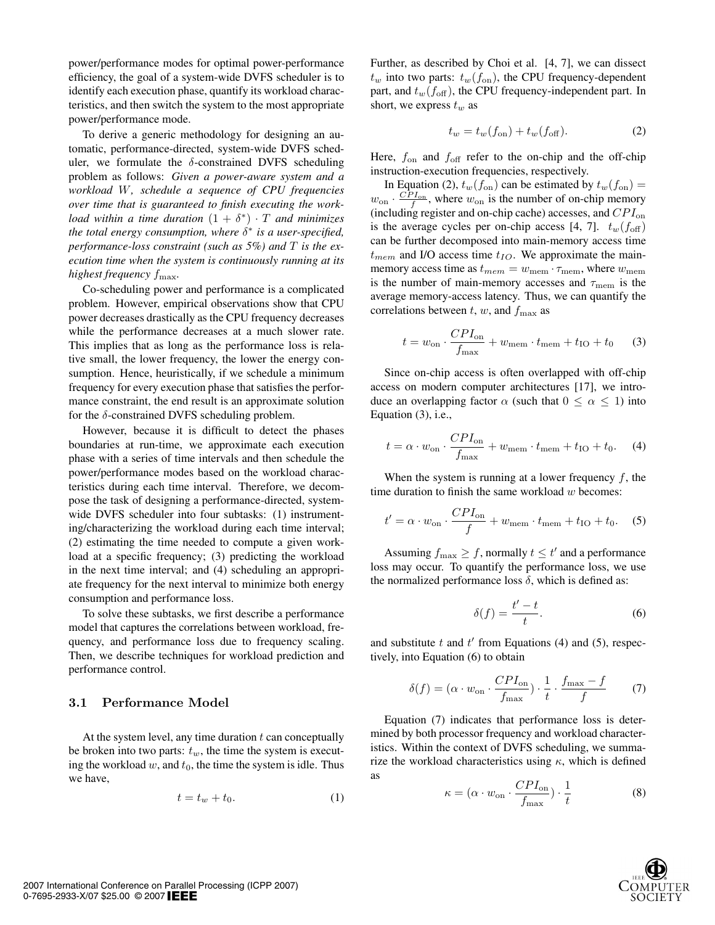power/performance modes for optimal power-performance efficiency, the goal of a system-wide DVFS scheduler is to identify each execution phase, quantify its workload characteristics, and then switch the system to the most appropriate power/performance mode.

To derive a generic methodology for designing an automatic, performance-directed, system-wide DVFS scheduler, we formulate the  $\delta$ -constrained DVFS scheduling problem as follows: *Given a power-aware system and a workload* W*, schedule a sequence of CPU frequencies over time that is guaranteed to finish executing the workload within a time duration*  $(1 + \delta^*) \cdot T$  *and minimizes the total energy consumption, where* δ<sup>∗</sup> *is a user-specified, performance-loss constraint (such as 5%) and* T *is the execution time when the system is continuously running at its highest frequency* fmax*.*

Co-scheduling power and performance is a complicated problem. However, empirical observations show that CPU power decreases drastically as the CPU frequency decreases while the performance decreases at a much slower rate. This implies that as long as the performance loss is relative small, the lower frequency, the lower the energy consumption. Hence, heuristically, if we schedule a minimum frequency for every execution phase that satisfies the performance constraint, the end result is an approximate solution for the  $\delta$ -constrained DVFS scheduling problem.

However, because it is difficult to detect the phases boundaries at run-time, we approximate each execution phase with a series of time intervals and then schedule the power/performance modes based on the workload characteristics during each time interval. Therefore, we decompose the task of designing a performance-directed, systemwide DVFS scheduler into four subtasks: (1) instrumenting/characterizing the workload during each time interval; (2) estimating the time needed to compute a given workload at a specific frequency; (3) predicting the workload in the next time interval; and (4) scheduling an appropriate frequency for the next interval to minimize both energy consumption and performance loss.

To solve these subtasks, we first describe a performance model that captures the correlations between workload, frequency, and performance loss due to frequency scaling. Then, we describe techniques for workload prediction and performance control.

#### **3.1 Performance Model**

At the system level, any time duration  $t$  can conceptually be broken into two parts:  $t_w$ , the time the system is executing the workload  $w$ , and  $t_0$ , the time the system is idle. Thus we have,

$$
t = t_w + t_0. \tag{1}
$$

Further, as described by Choi et al. [4, 7], we can dissect  $t_w$  into two parts:  $t_w(f_{\text{on}})$ , the CPU frequency-dependent part, and  $t_w(f_{\text{off}})$ , the CPU frequency-independent part. In short, we express  $t_w$  as

$$
t_w = t_w(f_{\text{on}}) + t_w(f_{\text{off}}). \tag{2}
$$

Here,  $f_{\text{on}}$  and  $f_{\text{off}}$  refer to the on-chip and the off-chip instruction-execution frequencies, respectively.

In Equation (2),  $t_w(f_{on})$  can be estimated by  $t_w(f_{on}) =$  $w_{\text{on}} \cdot \frac{CPI_{\text{on}}}{f}$ , where  $w_{\text{on}}$  is the number of on-chip memory (including register and on-chip cache) accesses, and  $CPI_{on}$ is the average cycles per on-chip access [4, 7].  $t_w(f_{\text{off}})$ can be further decomposed into main-memory access time  $t_{mem}$  and I/O access time  $t_{IO}$ . We approximate the mainmemory access time as  $t_{mem} = w_{mem} \cdot \tau_{mem}$ , where  $w_{mem}$ is the number of main-memory accesses and  $\tau_{\text{mem}}$  is the average memory-access latency. Thus, we can quantify the correlations between t, w, and  $f_{\text{max}}$  as

$$
t = w_{\rm on} \cdot \frac{CPI_{\rm on}}{f_{\rm max}} + w_{\rm mem} \cdot t_{\rm mem} + t_{\rm IO} + t_0 \qquad (3)
$$

Since on-chip access is often overlapped with off-chip access on modern computer architectures [17], we introduce an overlapping factor  $\alpha$  (such that  $0 \leq \alpha \leq 1$ ) into Equation (3), i.e.,

$$
t = \alpha \cdot w_{\rm on} \cdot \frac{CPI_{\rm on}}{f_{\rm max}} + w_{\rm mem} \cdot t_{\rm mem} + t_{\rm IO} + t_0.
$$
 (4)

When the system is running at a lower frequency  $f$ , the time duration to finish the same workload  $w$  becomes:

$$
t' = \alpha \cdot w_{\text{on}} \cdot \frac{CPI_{\text{on}}}{f} + w_{\text{mem}} \cdot t_{\text{mem}} + t_{\text{IO}} + t_0. \tag{5}
$$

Assuming  $f_{\text{max}} \ge f$ , normally  $t \le t'$  and a performance loss may occur. To quantify the performance loss, we use the normalized performance loss  $\delta$ , which is defined as:

$$
\delta(f) = \frac{t'-t}{t}.\tag{6}
$$

and substitute  $t$  and  $t'$  from Equations (4) and (5), respectively, into Equation (6) to obtain

$$
\delta(f) = (\alpha \cdot w_{\rm on} \cdot \frac{CPI_{\rm on}}{f_{\rm max}}) \cdot \frac{1}{t} \cdot \frac{f_{\rm max} - f}{f} \tag{7}
$$

Equation (7) indicates that performance loss is determined by both processor frequency and workload characteristics. Within the context of DVFS scheduling, we summarize the workload characteristics using  $\kappa$ , which is defined as

$$
\kappa = (\alpha \cdot w_{\rm on} \cdot \frac{CPI_{\rm on}}{f_{\rm max}}) \cdot \frac{1}{t}
$$
 (8)

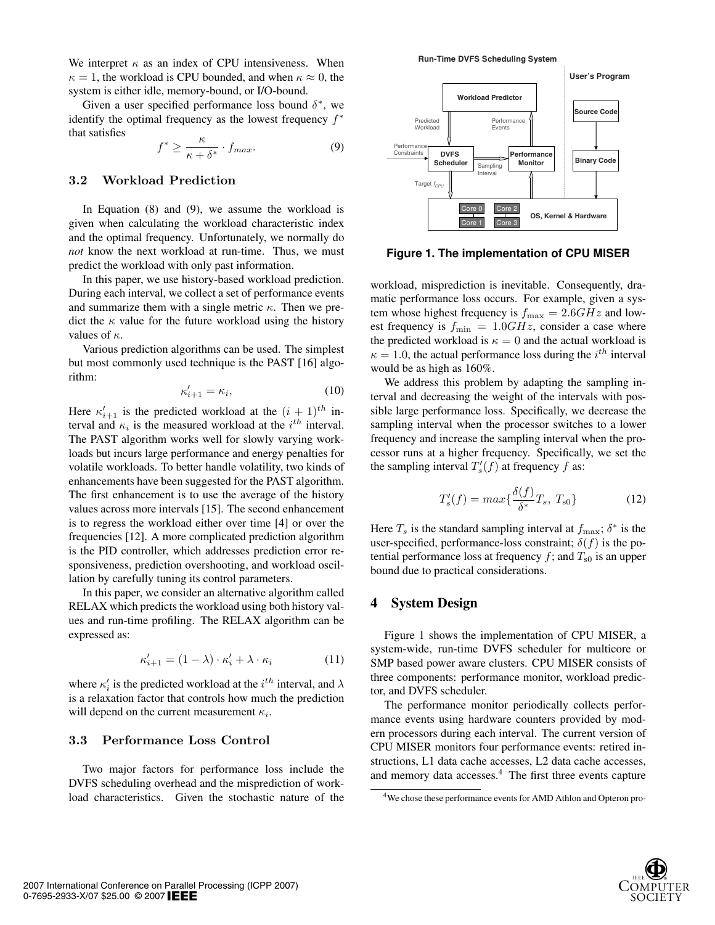We interpret  $\kappa$  as an index of CPU intensiveness. When  $\kappa = 1$ , the workload is CPU bounded, and when  $\kappa \approx 0$ , the system is either idle, memory-bound, or I/O-bound.

Given a user specified performance loss bound  $\delta^*$ , we identify the optimal frequency as the lowest frequency  $f^*$ that satisfies

$$
f^* \ge \frac{\kappa}{\kappa + \delta^*} \cdot f_{max}.\tag{9}
$$

#### **3.2 Workload Prediction**

In Equation (8) and (9), we assume the workload is given when calculating the workload characteristic index and the optimal frequency. Unfortunately, we normally do *not* know the next workload at run-time. Thus, we must predict the workload with only past information.

In this paper, we use history-based workload prediction. During each interval, we collect a set of performance events and summarize them with a single metric  $\kappa$ . Then we predict the  $\kappa$  value for the future workload using the history values of  $\kappa$ .

Various prediction algorithms can be used. The simplest but most commonly used technique is the PAST [16] algorithm:

$$
\kappa'_{i+1} = \kappa_i,\tag{10}
$$

Here  $\kappa'_{i+1}$  is the predicted workload at the  $(i + 1)^{th}$  interval and  $\kappa_i$  is the measured workload at the  $i^{th}$  interval. The PAST algorithm works well for slowly varying workloads but incurs large performance and energy penalties for volatile workloads. To better handle volatility, two kinds of enhancements have been suggested for the PAST algorithm. The first enhancement is to use the average of the history values across more intervals [15]. The second enhancement is to regress the workload either over time [4] or over the frequencies [12]. A more complicated prediction algorithm is the PID controller, which addresses prediction error responsiveness, prediction overshooting, and workload oscillation by carefully tuning its control parameters.

In this paper, we consider an alternative algorithm called RELAX which predicts the workload using both history values and run-time profiling. The RELAX algorithm can be expressed as:

$$
\kappa'_{i+1} = (1 - \lambda) \cdot \kappa'_i + \lambda \cdot \kappa_i \tag{11}
$$

where  $\kappa'_i$  is the predicted workload at the  $i^{th}$  interval, and  $\lambda$ is a relaxation factor that controls how much the prediction will depend on the current measurement  $\kappa_i$ .

#### **3.3 Performance Loss Control**

Two major factors for performance loss include the DVFS scheduling overhead and the misprediction of workload characteristics. Given the stochastic nature of the



**Figure 1. The implementation of CPU MISER**

workload, misprediction is inevitable. Consequently, dramatic performance loss occurs. For example, given a system whose highest frequency is  $f_{\text{max}} = 2.6GHz$  and lowest frequency is  $f_{\text{min}} = 1.0 \text{GHz}$ , consider a case where the predicted workload is  $\kappa = 0$  and the actual workload is  $\kappa = 1.0$ , the actual performance loss during the  $i^{th}$  interval would be as high as 160%.

We address this problem by adapting the sampling interval and decreasing the weight of the intervals with possible large performance loss. Specifically, we decrease the sampling interval when the processor switches to a lower frequency and increase the sampling interval when the processor runs at a higher frequency. Specifically, we set the the sampling interval  $T'_{s}(f)$  at frequency f as:

$$
T_s'(f) = max\{\frac{\delta(f)}{\delta^*}T_s, T_{s0}\}\tag{12}
$$

Here  $T_s$  is the standard sampling interval at  $f_{\text{max}}$ ;  $\delta^*$  is the user-specified, performance-loss constraint;  $\delta(f)$  is the potential performance loss at frequency f; and  $T_{\rm s0}$  is an upper bound due to practical considerations.

#### 4 System Design

Figure 1 shows the implementation of CPU MISER, a system-wide, run-time DVFS scheduler for multicore or SMP based power aware clusters. CPU MISER consists of three components: performance monitor, workload predictor, and DVFS scheduler.

The performance monitor periodically collects performance events using hardware counters provided by modern processors during each interval. The current version of CPU MISER monitors four performance events: retired instructions, L1 data cache accesses, L2 data cache accesses, and memory data accesses.<sup>4</sup> The first three events capture



<sup>4</sup>We chose these performance events for AMD Athlon and Opteron pro-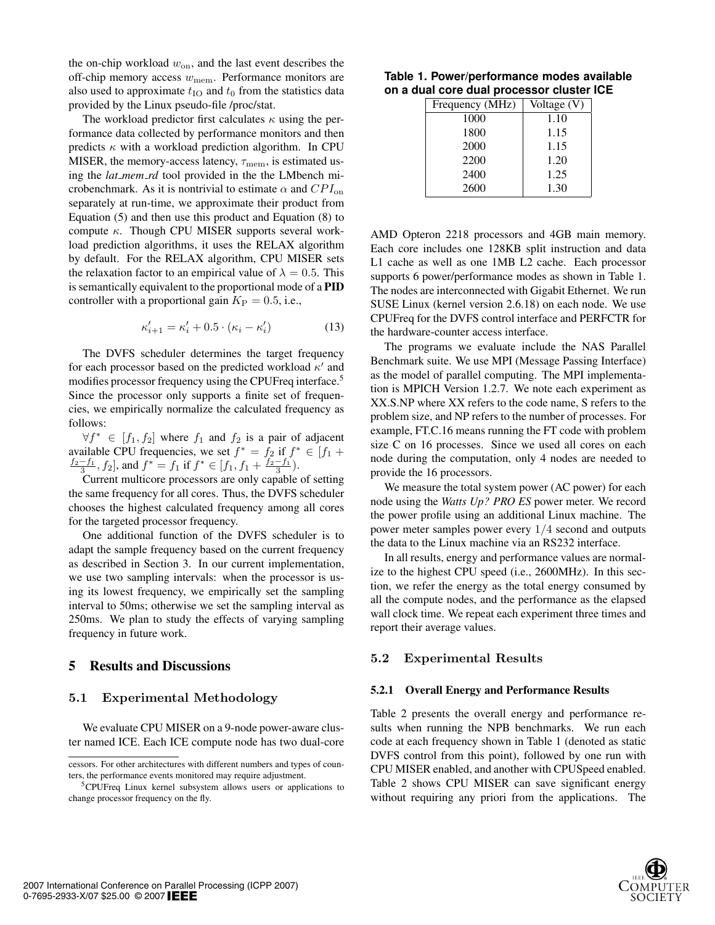the on-chip workload  $w_{on}$ , and the last event describes the off-chip memory access  $w_{\text{mem}}$ . Performance monitors are also used to approximate  $t_{\text{IO}}$  and  $t_0$  from the statistics data provided by the Linux pseudo-file /proc/stat.

The workload predictor first calculates  $\kappa$  using the performance data collected by performance monitors and then predicts  $\kappa$  with a workload prediction algorithm. In CPU MISER, the memory-access latency,  $\tau_{\text{mem}}$ , is estimated using the *lat mem rd* tool provided in the the LMbench microbenchmark. As it is nontrivial to estimate  $\alpha$  and  $CPI_{on}$ separately at run-time, we approximate their product from Equation (5) and then use this product and Equation (8) to compute  $\kappa$ . Though CPU MISER supports several workload prediction algorithms, it uses the RELAX algorithm by default. For the RELAX algorithm, CPU MISER sets the relaxation factor to an empirical value of  $\lambda = 0.5$ . This is semantically equivalent to the proportional mode of a PID controller with a proportional gain  $K_{\rm P} = 0.5$ , i.e.,

$$
\kappa'_{i+1} = \kappa'_{i} + 0.5 \cdot (\kappa_i - \kappa'_{i}) \tag{13}
$$

The DVFS scheduler determines the target frequency for each processor based on the predicted workload  $\kappa'$  and modifies processor frequency using the CPUFreq interface.<sup>5</sup> Since the processor only supports a finite set of frequencies, we empirically normalize the calculated frequency as follows:

 $\forall f^* \in [f_1, f_2]$  where  $f_1$  and  $f_2$  is a pair of adjacent available CPU frequencies, we set  $f^* = f_2$  if  $f^* \in [f_1 +$  $\frac{f_2-f_1}{3}$ ,  $f_2$ , and  $f^* = f_1$  if  $f^* \in [f_1, f_1 + \frac{f_2-f_1}{3})$ .

Current multicore processors are only capable of setting the same frequency for all cores. Thus, the DVFS scheduler chooses the highest calculated frequency among all cores for the targeted processor frequency.

One additional function of the DVFS scheduler is to adapt the sample frequency based on the current frequency as described in Section 3. In our current implementation, we use two sampling intervals: when the processor is using its lowest frequency, we empirically set the sampling interval to 50ms; otherwise we set the sampling interval as 250ms. We plan to study the effects of varying sampling frequency in future work.

#### 5 Results and Discussions

#### **5.1 Experimental Methodology**

We evaluate CPU MISER on a 9-node power-aware cluster named ICE. Each ICE compute node has two dual-core

#### **Table 1. Power/performance modes available on a dual core dual processor cluster ICE**

| Frequency (MHz) |      | Voltage (V) |  |  |
|-----------------|------|-------------|--|--|
|                 | 1000 | 1.10        |  |  |
|                 | 1800 | 1.15        |  |  |
|                 | 2000 | 1.15        |  |  |
|                 | 2200 | 1.20        |  |  |
|                 | 2400 | 1.25        |  |  |
|                 | 2600 | 1.30        |  |  |

AMD Opteron 2218 processors and 4GB main memory. Each core includes one 128KB split instruction and data L1 cache as well as one 1MB L2 cache. Each processor supports 6 power/performance modes as shown in Table 1. The nodes are interconnected with Gigabit Ethernet. We run SUSE Linux (kernel version 2.6.18) on each node. We use CPUFreq for the DVFS control interface and PERFCTR for the hardware-counter access interface.

The programs we evaluate include the NAS Parallel Benchmark suite. We use MPI (Message Passing Interface) as the model of parallel computing. The MPI implementation is MPICH Version 1.2.7. We note each experiment as XX.S.NP where XX refers to the code name, S refers to the problem size, and NP refers to the number of processes. For example, FT.C.16 means running the FT code with problem size C on 16 processes. Since we used all cores on each node during the computation, only 4 nodes are needed to provide the 16 processors.

We measure the total system power (AC power) for each node using the *Watts Up? PRO ES* power meter. We record the power profile using an additional Linux machine. The power meter samples power every 1/4 second and outputs the data to the Linux machine via an RS232 interface.

In all results, energy and performance values are normalize to the highest CPU speed (i.e., 2600MHz). In this section, we refer the energy as the total energy consumed by all the compute nodes, and the performance as the elapsed wall clock time. We repeat each experiment three times and report their average values.

#### **5.2 Experimental Results**

#### 5.2.1 Overall Energy and Performance Results

Table 2 presents the overall energy and performance results when running the NPB benchmarks. We run each code at each frequency shown in Table 1 (denoted as static DVFS control from this point), followed by one run with CPU MISER enabled, and another with CPUSpeed enabled. Table 2 shows CPU MISER can save significant energy without requiring any priori from the applications. The



cessors. For other architectures with different numbers and types of counters, the performance events monitored may require adjustment.

<sup>5</sup>CPUFreq Linux kernel subsystem allows users or applications to change processor frequency on the fly.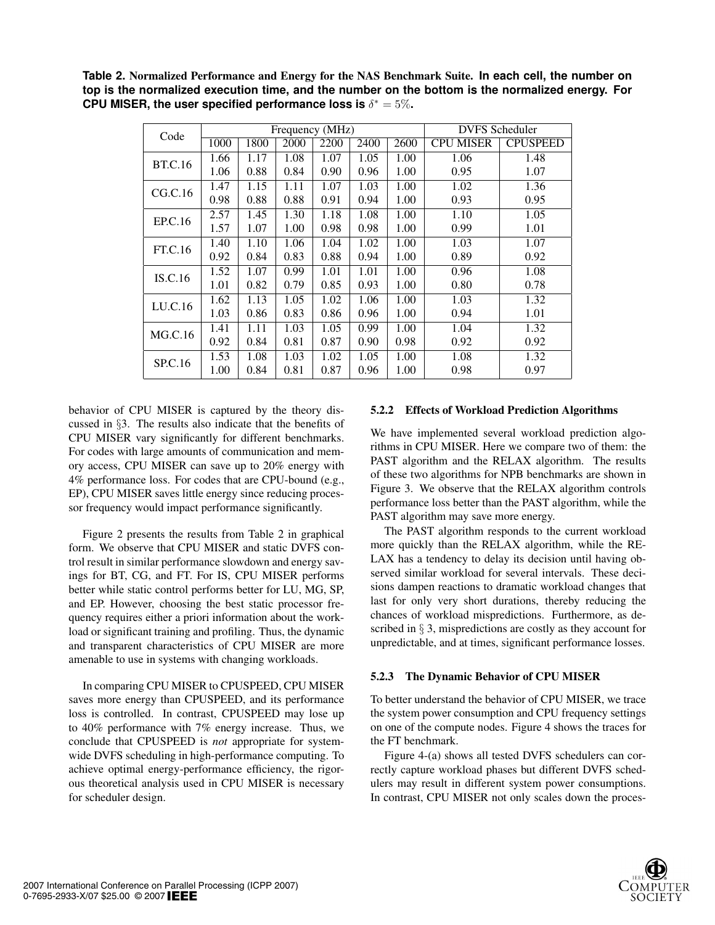**Table 2.** Normalized Performance and Energy for the NAS Benchmark Suite. **In each cell, the number on top is the normalized execution time, and the number on the bottom is the normalized energy. For CPU MISER, the user specified performance loss is**  $\delta^* = 5\%$ **.** 

| Code           | Frequency (MHz) |      |      |      |      | <b>DVFS</b> Scheduler |                  |                 |
|----------------|-----------------|------|------|------|------|-----------------------|------------------|-----------------|
|                | 1000            | 1800 | 2000 | 2200 | 2400 | 2600                  | <b>CPU MISER</b> | <b>CPUSPEED</b> |
| <b>BT.C.16</b> | 1.66            | 1.17 | 1.08 | 1.07 | 1.05 | 1.00                  | 1.06             | 1.48            |
|                | 1.06            | 0.88 | 0.84 | 0.90 | 0.96 | 1.00                  | 0.95             | 1.07            |
| CG.C.16        | 1.47            | 1.15 | 1.11 | 1.07 | 1.03 | 1.00                  | 1.02             | 1.36            |
|                | 0.98            | 0.88 | 0.88 | 0.91 | 0.94 | 1.00                  | 0.93             | 0.95            |
| EP.C.16        | 2.57            | 1.45 | 1.30 | 1.18 | 1.08 | 1.00                  | 1.10             | 1.05            |
|                | 1.57            | 1.07 | 1.00 | 0.98 | 0.98 | 1.00                  | 0.99             | 1.01            |
| FT.C.16        | 1.40            | 1.10 | 1.06 | 1.04 | 1.02 | 1.00                  | 1.03             | 1.07            |
|                | 0.92            | 0.84 | 0.83 | 0.88 | 0.94 | 1.00                  | 0.89             | 0.92            |
| IS.C.16        | 1.52            | 1.07 | 0.99 | 1.01 | 1.01 | 1.00                  | 0.96             | 1.08            |
|                | 1.01            | 0.82 | 0.79 | 0.85 | 0.93 | 1.00                  | 0.80             | 0.78            |
| LU.C.16        | 1.62            | 1.13 | 1.05 | 1.02 | 1.06 | 1.00                  | 1.03             | 1.32            |
|                | 1.03            | 0.86 | 0.83 | 0.86 | 0.96 | 1.00                  | 0.94             | 1.01            |
| MG.C.16        | 1.41            | 1.11 | 1.03 | 1.05 | 0.99 | 1.00                  | 1.04             | 1.32            |
|                | 0.92            | 0.84 | 0.81 | 0.87 | 0.90 | 0.98                  | 0.92             | 0.92            |
| SP.C.16        | 1.53            | 1.08 | 1.03 | 1.02 | 1.05 | 1.00                  | 1.08             | 1.32            |
|                | 1.00            | 0.84 | 0.81 | 0.87 | 0.96 | 1.00                  | 0.98             | 0.97            |

behavior of CPU MISER is captured by the theory discussed in §3. The results also indicate that the benefits of CPU MISER vary significantly for different benchmarks. For codes with large amounts of communication and memory access, CPU MISER can save up to 20% energy with 4% performance loss. For codes that are CPU-bound (e.g., EP), CPU MISER saves little energy since reducing processor frequency would impact performance significantly.

Figure 2 presents the results from Table 2 in graphical form. We observe that CPU MISER and static DVFS control result in similar performance slowdown and energy savings for BT, CG, and FT. For IS, CPU MISER performs better while static control performs better for LU, MG, SP, and EP. However, choosing the best static processor frequency requires either a priori information about the workload or significant training and profiling. Thus, the dynamic and transparent characteristics of CPU MISER are more amenable to use in systems with changing workloads.

In comparing CPU MISER to CPUSPEED, CPU MISER saves more energy than CPUSPEED, and its performance loss is controlled. In contrast, CPUSPEED may lose up to 40% performance with 7% energy increase. Thus, we conclude that CPUSPEED is *not* appropriate for systemwide DVFS scheduling in high-performance computing. To achieve optimal energy-performance efficiency, the rigorous theoretical analysis used in CPU MISER is necessary for scheduler design.

## 5.2.2 Effects of Workload Prediction Algorithms

We have implemented several workload prediction algorithms in CPU MISER. Here we compare two of them: the PAST algorithm and the RELAX algorithm. The results of these two algorithms for NPB benchmarks are shown in Figure 3. We observe that the RELAX algorithm controls performance loss better than the PAST algorithm, while the PAST algorithm may save more energy.

The PAST algorithm responds to the current workload more quickly than the RELAX algorithm, while the RE-LAX has a tendency to delay its decision until having observed similar workload for several intervals. These decisions dampen reactions to dramatic workload changes that last for only very short durations, thereby reducing the chances of workload mispredictions. Furthermore, as described in § 3, mispredictions are costly as they account for unpredictable, and at times, significant performance losses.

#### 5.2.3 The Dynamic Behavior of CPU MISER

To better understand the behavior of CPU MISER, we trace the system power consumption and CPU frequency settings on one of the compute nodes. Figure 4 shows the traces for the FT benchmark.

Figure 4-(a) shows all tested DVFS schedulers can correctly capture workload phases but different DVFS schedulers may result in different system power consumptions. In contrast, CPU MISER not only scales down the proces-

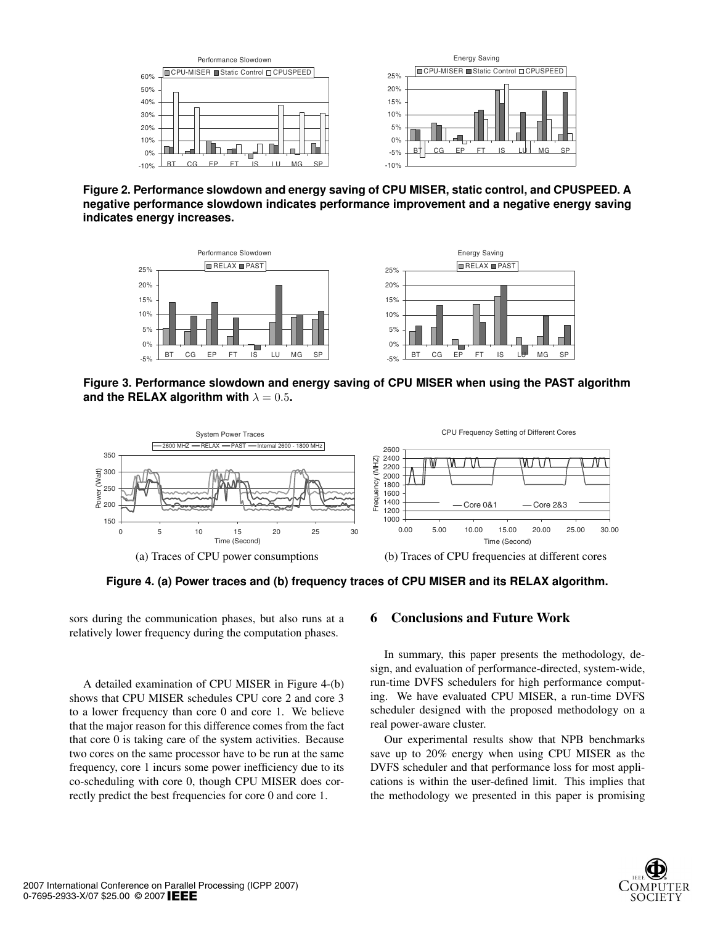

**Figure 2. Performance slowdown and energy saving of CPU MISER, static control, and CPUSPEED. A negative performance slowdown indicates performance improvement and a negative energy saving indicates energy increases.**



**Figure 3. Performance slowdown and energy saving of CPU MISER when using the PAST algorithm** and the RELAX algorithm with  $\lambda = 0.5$ .



**Figure 4. (a) Power traces and (b) frequency traces of CPU MISER and its RELAX algorithm.**

sors during the communication phases, but also runs at a relatively lower frequency during the computation phases.

A detailed examination of CPU MISER in Figure 4-(b) shows that CPU MISER schedules CPU core 2 and core 3 to a lower frequency than core 0 and core 1. We believe that the major reason for this difference comes from the fact that core 0 is taking care of the system activities. Because two cores on the same processor have to be run at the same frequency, core 1 incurs some power inefficiency due to its co-scheduling with core 0, though CPU MISER does correctly predict the best frequencies for core 0 and core 1.

#### 6 Conclusions and Future Work

In summary, this paper presents the methodology, design, and evaluation of performance-directed, system-wide, run-time DVFS schedulers for high performance computing. We have evaluated CPU MISER, a run-time DVFS scheduler designed with the proposed methodology on a real power-aware cluster.

Our experimental results show that NPB benchmarks save up to 20% energy when using CPU MISER as the DVFS scheduler and that performance loss for most applications is within the user-defined limit. This implies that the methodology we presented in this paper is promising